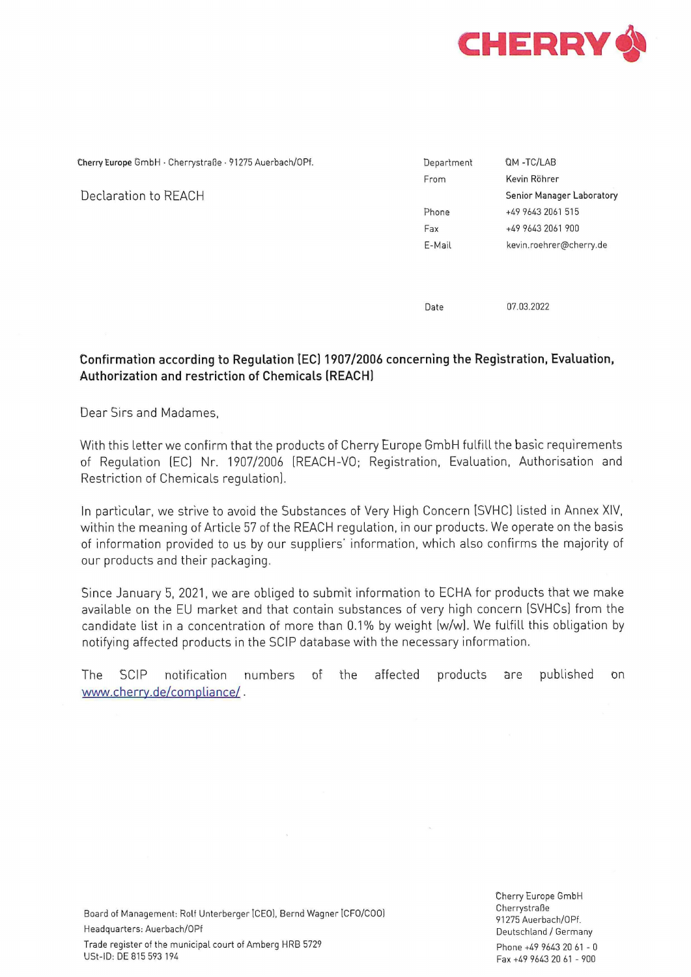

| Cherry Europe GmbH · Cherrystraße · 91275 Auerbach/OPf. | Department | QM-TC/LAB                 |
|---------------------------------------------------------|------------|---------------------------|
|                                                         | From       | Kevin Röhrer              |
| Declaration to REACH                                    |            | Senior Manager Laboratory |
|                                                         | Phone      | +49 9643 2061 515         |
|                                                         | Fax        | +49 9643 2061 900         |
|                                                         | E-Mail     | kevin.roehrer@cherry.de   |
|                                                         |            |                           |
|                                                         |            |                           |
|                                                         |            |                           |

Date 07.03.2022

## Confirmation according to Regulation (EC) 1907/2006 concerning the Registration, Evaluation, Authorization and restriction of Chemicals (REACH)

Dear Sirs and Madames,

With this letter we confirm that the products of Cherry Europe GmbH fulfill the basic requirements of Regulation (EC) Nr. 1907/2006 (REACH-VO; Registration, Evaluation, Authorisation and Restriction of Chemicals regulation).

In particular, we strive to avoid the Substances of Very High Concern [SVHC] listed in Annex XIV, within the meaning of Article 57 of the REACH regulation, in our products. We operate on the basis of information provided to us by our suppliers' information, which also confirms the majority of our products and their packaging.

Since January 5, 2021, we are obliged to submit information to ECHA for products that we make available on the EU market and that contain substances of very high concern (SVHCs] from the candidate list in a concentration of more than 0.1% by weight (w/w]. We fulfill this obligation by notifying affected products in the SCIP database with the necessary information.

The SCIP notification numbers of the affected products are published on www.cherry.de/compliance/ .

i 1 Cherrystraße B oard of Management: : Rolf Unterberger [CEO], Bernd Wagner [CFO/COO) 91275 Auerbach/OPf. Headquarters: Auerbach/OPf **Deutschland / Germany** Trade register of the municipal court of Amberg HRB 5729 Phone +49 9643 20 61 - 0 USt-ID: DE 815 593 194

Cherry Europe GmbH